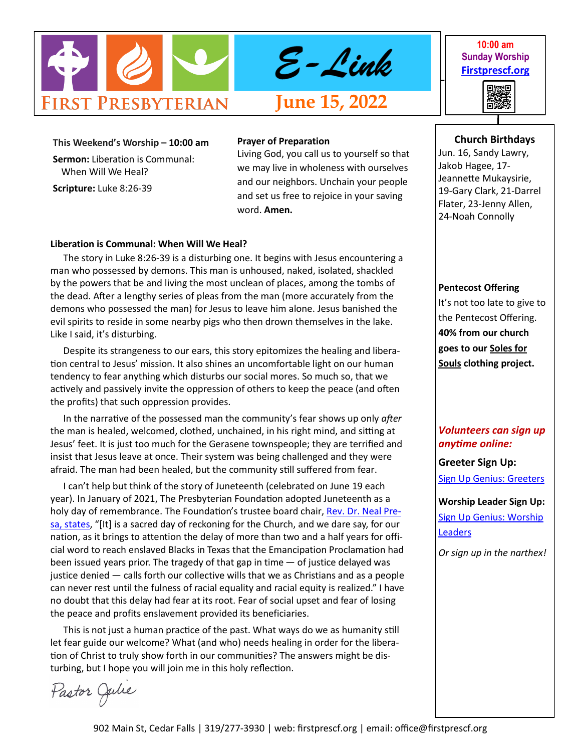

**10:00 am Sunday Worship [Firstprescf.org](http://www.firstprescf.org)**



**This Weekend's Worship – 10:00 am Sermon:** Liberation is Communal: When Will We Heal? **Scripture:** Luke 8:26-39

#### **Prayer of Preparation**

Living God, you call us to yourself so that we may live in wholeness with ourselves and our neighbors. Unchain your people and set us free to rejoice in your saving word. **Amen.**

#### **Liberation is Communal: When Will We Heal?**

The story in Luke 8:26-39 is a disturbing one. It begins with Jesus encountering a man who possessed by demons. This man is unhoused, naked, isolated, shackled by the powers that be and living the most unclean of places, among the tombs of the dead. After a lengthy series of pleas from the man (more accurately from the demons who possessed the man) for Jesus to leave him alone. Jesus banished the evil spirits to reside in some nearby pigs who then drown themselves in the lake. Like I said, it's disturbing.

Despite its strangeness to our ears, this story epitomizes the healing and liberation central to Jesus' mission. It also shines an uncomfortable light on our human tendency to fear anything which disturbs our social mores. So much so, that we actively and passively invite the oppression of others to keep the peace (and often the profits) that such oppression provides.

In the narrative of the possessed man the community's fear shows up only *after* the man is healed, welcomed, clothed, unchained, in his right mind, and sitting at Jesus' feet. It is just too much for the Gerasene townspeople; they are terrified and insist that Jesus leave at once. Their system was being challenged and they were afraid. The man had been healed, but the community still suffered from fear.

I can't help but think of the story of Juneteenth (celebrated on June 19 each year). In January of 2021, The Presbyterian Foundation adopted Juneteenth as a holy day of remembrance. The Foundation's trustee board chair, [Rev. Dr. Neal Pre](https://www.presbyterianfoundation.org/juneteenth-becomes-holy-day-of-remembrance-for-presbyterian-foundation/)[sa, states,](https://www.presbyterianfoundation.org/juneteenth-becomes-holy-day-of-remembrance-for-presbyterian-foundation/) "[It] is a sacred day of reckoning for the Church, and we dare say, for our nation, as it brings to attention the delay of more than two and a half years for official word to reach enslaved Blacks in Texas that the Emancipation Proclamation had been issued years prior. The tragedy of that gap in time — of justice delayed was justice denied — calls forth our collective wills that we as Christians and as a people can never rest until the fulness of racial equality and racial equity is realized." I have no doubt that this delay had fear at its root. Fear of social upset and fear of losing the peace and profits enslavement provided its beneficiaries.

This is not just a human practice of the past. What ways do we as humanity still let fear guide our welcome? What (and who) needs healing in order for the liberation of Christ to truly show forth in our communities? The answers might be disturbing, but I hope you will join me in this holy reflection.

Pastor Julie

# **Church Birthdays**

Jun. 16, Sandy Lawry, Jakob Hagee, 17- Jeannette Mukaysirie, 19-Gary Clark, 21-Darrel Flater, 23-Jenny Allen, 24-Noah Connolly

#### **Pentecost Offering**

It's not too late to give to the Pentecost Offering. **40% from our church goes to our Soles for Souls clothing project.** 

# *Volunteers can sign up anytime online:*

**Greeter Sign Up:**

[Sign Up Genius: Greeters](https://www.signupgenius.com/go/10C0D4BA9A728ABF4CF8-shepherds1)

**Worship Leader Sign Up:** [Sign Up Genius: Worship](https://www.signupgenius.com/go/10C0D4BA9A728ABF4CF8-worship)  **[Leaders](https://www.signupgenius.com/go/10C0D4BA9A728ABF4CF8-worship)** 

*Or sign up in the narthex!*